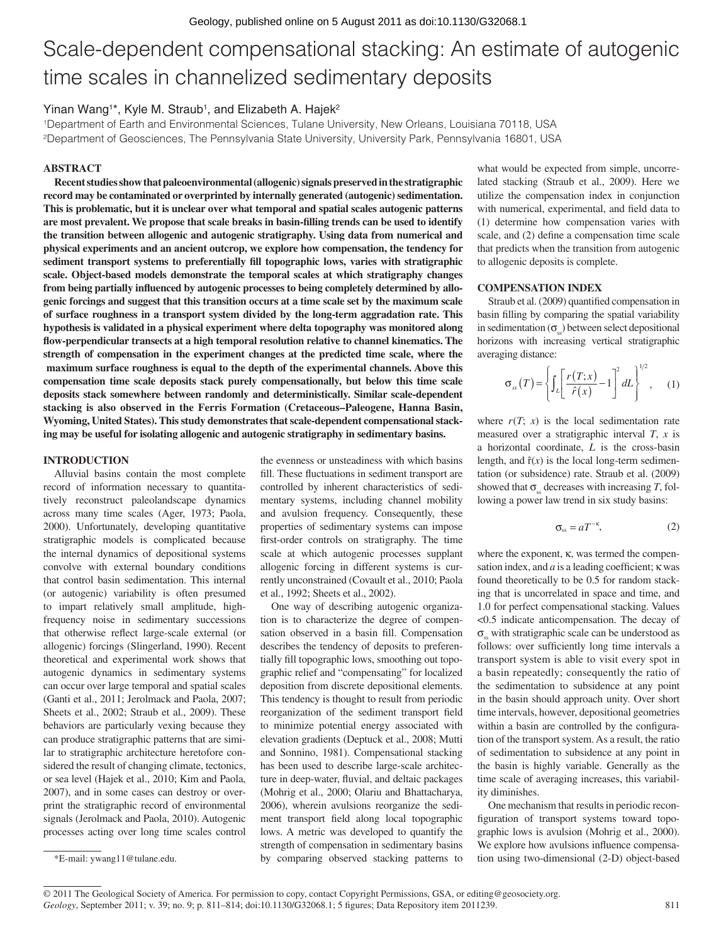# Scale-dependent compensational stacking: An estimate of autogenic time scales in channelized sedimentary deposits

## Yinan Wang<sup>1\*</sup>, Kyle M. Straub<sup>1</sup>, and Elizabeth A. Hajek<sup>2</sup>

1Department of Earth and Environmental Sciences, Tulane University, New Orleans, Louisiana 70118, USA 2Department of Geosciences, The Pennsylvania State University, University Park, Pennsylvania 16801, USA

### **ABSTRACT**

**Recent studies show that paleoenvironmental (allogenic) signals preserved in the stratigraphic record may be contaminated or overprinted by internally generated (autogenic) sedimentation. This is problematic, but it is unclear over what temporal and spatial scales autogenic patterns**  are most prevalent. We propose that scale breaks in basin-filling trends can be used to identify **the transition between allogenic and autogenic stratigraphy. Using data from numerical and physical experiments and an ancient outcrop, we explore how compensation, the tendency for**  sediment transport systems to preferentially fill topographic lows, varies with stratigraphic **scale. Object-based models demonstrate the temporal scales at which stratigraphy changes**  from being partially influenced by autogenic processes to being completely determined by allo**genic forcings and suggest that this transition occurs at a time scale set by the maximum scale of surface roughness in a transport system divided by the long-term aggradation rate. This hypothesis is validated in a physical experiment where delta topography was monitored along**  flow-perpendicular transects at a high temporal resolution relative to channel kinematics. The **strength of compensation in the experiment changes at the predicted time scale, where the** maximum surface roughness is equal to the depth of the experimental channels. Above this **compensation time scale deposits stack purely compensationally, but below this time scale deposits stack somewhere between randomly and deterministically. Similar scale-dependent stacking is also observed in the Ferris Formation (Cretaceous–Paleogene, Hanna Basin, Wyoming, United States). This study demonstrates that scale-dependent compensational stacking may be useful for isolating allogenic and autogenic stratigraphy in sedimentary basins.**

#### **INTRODUCTION**

Alluvial basins contain the most complete record of information necessary to quantitatively reconstruct paleolandscape dynamics across many time scales (Ager, 1973; Paola, 2000). Unfortunately, developing quantitative stratigraphic models is complicated because the internal dynamics of depositional systems convolve with external boundary conditions that control basin sedimentation. This internal (or autogenic) variability is often presumed to impart relatively small amplitude, highfrequency noise in sedimentary successions that otherwise reflect large-scale external (or allogenic) forcings (Slingerland, 1990). Recent theoretical and experimental work shows that autogenic dynamics in sedimentary systems can occur over large temporal and spatial scales (Ganti et al., 2011; Jerolmack and Paola, 2007; Sheets et al., 2002; Straub et al., 2009). These behaviors are particularly vexing because they can produce stratigraphic patterns that are similar to stratigraphic architecture heretofore considered the result of changing climate, tectonics, or sea level (Hajek et al., 2010; Kim and Paola, 2007), and in some cases can destroy or overprint the stratigraphic record of environmental signals (Jerolmack and Paola, 2010). Autogenic processes acting over long time scales control

the evenness or unsteadiness with which basins fill. These fluctuations in sediment transport are controlled by inherent characteristics of sedimentary systems, including channel mobility and avulsion frequency. Consequently, these properties of sedimentary systems can impose first-order controls on stratigraphy. The time scale at which autogenic processes supplant allogenic forcing in different systems is currently unconstrained (Covault et al., 2010; Paola et al., 1992; Sheets et al., 2002).

One way of describing autogenic organization is to characterize the degree of compensation observed in a basin fill. Compensation describes the tendency of deposits to preferentially fill topographic lows, smoothing out topographic relief and "compensating" for localized deposition from discrete depositional elements. This tendency is thought to result from periodic reorganization of the sediment transport field to minimize potential energy associated with elevation gradients (Deptuck et al., 2008; Mutti and Sonnino, 1981). Compensational stacking has been used to describe large-scale architecture in deep-water, fluvial, and deltaic packages (Mohrig et al., 2000; Olariu and Bhattacharya, 2006), wherein avulsions reorganize the sediment transport field along local topographic lows. A metric was developed to quantify the strength of compensation in sedimentary basins by comparing observed stacking patterns to

what would be expected from simple, uncorrelated stacking (Straub et al., 2009). Here we utilize the compensation index in conjunction with numerical, experimental, and field data to (1) determine how compensation varies with scale, and (2) define a compensation time scale that predicts when the transition from autogenic to allogenic deposits is complete.

#### **COMPENSATION INDEX**

Straub et al. (2009) quantified compensation in basin filling by comparing the spatial variability in sedimentation  $(\sigma_{s})$  between select depositional horizons with increasing vertical stratigraphic averaging distance:

$$
\sigma_{ss}(T) = \left\{ \int_{L} \left[ \frac{r(T;x)}{\hat{r}(x)} - 1 \right]^{2} dL \right\}^{1/2}, \quad (1)
$$

where  $r(T; x)$  is the local sedimentation rate measured over a stratigraphic interval *T*, *x* is a horizontal coordinate, *L* is the cross-basin length, and  $\hat{r}(x)$  is the local long-term sedimentation (or subsidence) rate. Straub et al. (2009) showed that  $\sigma_{s}$  decreases with increasing *T*, following a power law trend in six study basins:

$$
\sigma_{ss} = aT^{-\kappa},\tag{2}
$$

where the exponent, κ, was termed the compensation index, and  $a$  is a leading coefficient;  $\kappa$  was found theoretically to be 0.5 for random stacking that is uncorrelated in space and time, and 1.0 for perfect compensational stacking. Values <0.5 indicate anticompensation. The decay of  $\sigma$ <sub>ss</sub> with stratigraphic scale can be understood as follows: over sufficiently long time intervals a transport system is able to visit every spot in a basin repeatedly; consequently the ratio of the sedimentation to subsidence at any point in the basin should approach unity. Over short time intervals, however, depositional geometries within a basin are controlled by the configuration of the transport system. As a result, the ratio of sedimentation to subsidence at any point in the basin is highly variable. Generally as the time scale of averaging increases, this variability diminishes.

One mechanism that results in periodic reconfiguration of transport systems toward topographic lows is avulsion (Mohrig et al., 2000). We explore how avulsions influence compensation using two-dimensional (2-D) object-based

<sup>\*</sup>E-mail: ywang11@tulane.edu.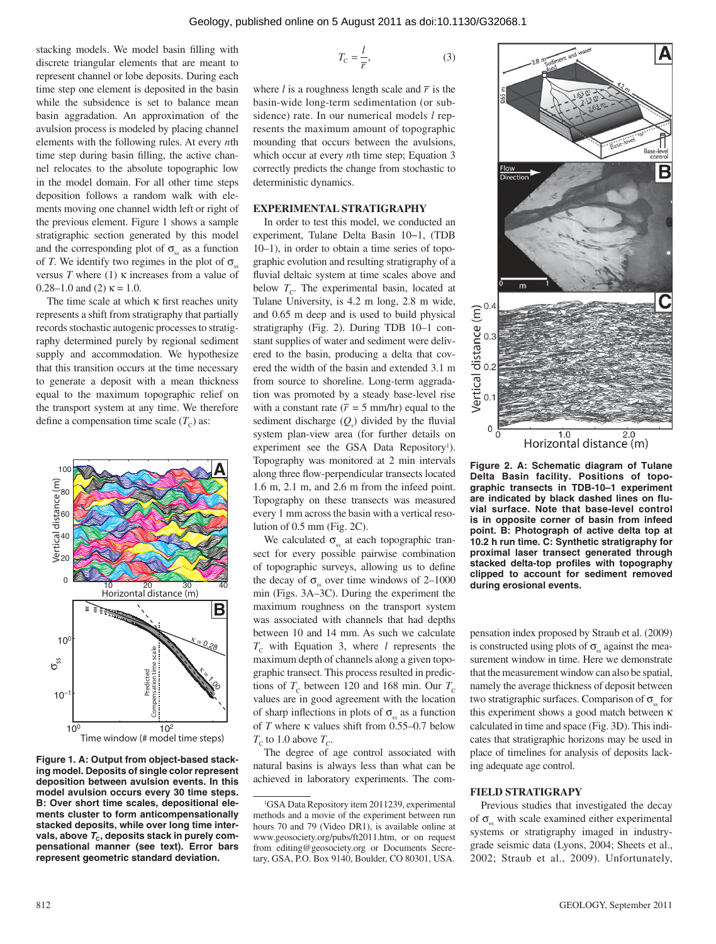stacking models. We model basin filling with discrete triangular elements that are meant to represent channel or lobe deposits. During each time step one element is deposited in the basin while the subsidence is set to balance mean basin aggradation. An approximation of the avulsion process is modeled by placing channel elements with the following rules. At every *n*th time step during basin filling, the active channel relocates to the absolute topographic low in the model domain. For all other time steps deposition follows a random walk with elements moving one channel width left or right of the previous element. Figure 1 shows a sample stratigraphic section generated by this model and the corresponding plot of  $\sigma_{ss}$  as a function of *T*. We identify two regimes in the plot of  $\sigma_{\rm s}$ versus *T* where (1) κ increases from a value of 0.28–1.0 and (2)  $\kappa$  = 1.0.

The time scale at which  $\kappa$  first reaches unity represents a shift from stratigraphy that partially records stochastic autogenic processes to stratigraphy determined purely by regional sediment supply and accommodation. We hypothesize that this transition occurs at the time necessary to generate a deposit with a mean thickness equal to the maximum topographic relief on the transport system at any time. We therefore define a compensation time scale  $(T_c)$  as:



**Figure 1. A: Output from object-based stacking model. Deposits of single color represent deposition between avulsion events. In this model avulsion occurs every 30 time steps. B: Over short time scales, depositional elements cluster to form anticompensationally stacked deposits, while over long time inter**vals, above  $T_c$ , deposits stack in purely com**pensational manner (see text). Error bars represent geometric standard deviation.**

$$
T_{\rm C} = \frac{l}{r},\tag{3}
$$

where  $l$  is a roughness length scale and  $\bar{r}$  is the basin-wide long-term sedimentation (or subsidence) rate. In our numerical models *l* represents the maximum amount of topographic mounding that occurs between the avulsions, which occur at every *n*th time step; Equation 3 correctly predicts the change from stochastic to deterministic dynamics.

#### **EXPERIMENTAL STRATIGRAPHY**

In order to test this model, we conducted an experiment, Tulane Delta Basin 10−1, (TDB 10–1), in order to obtain a time series of topographic evolution and resulting stratigraphy of a fluvial deltaic system at time scales above and below  $T_c$ . The experimental basin, located at Tulane University, is 4.2 m long, 2.8 m wide, and 0.65 m deep and is used to build physical stratigraphy (Fig. 2). During TDB 10–1 constant supplies of water and sediment were delivered to the basin, producing a delta that covered the width of the basin and extended 3.1 m from source to shoreline. Long-term aggradation was promoted by a steady base-level rise with a constant rate ( $\bar{r}$  = 5 mm/hr) equal to the sediment discharge  $(Q_s)$  divided by the fluvial system plan-view area (for further details on experiment see the GSA Data Repository<sup>1</sup>). Topography was monitored at 2 min intervals along three flow-perpendicular transects located 1.6 m, 2.1 m, and 2.6 m from the infeed point. Topography on these transects was measured every 1 mm across the basin with a vertical resolution of 0.5 mm (Fig. 2C).

We calculated  $\sigma_{\rm s}$  at each topographic transect for every possible pairwise combination of topographic surveys, allowing us to define the decay of  $\sigma_{\rm ss}$  over time windows of 2–1000 min (Figs. 3A–3C). During the experiment the maximum roughness on the transport system was associated with channels that had depths between 10 and 14 mm. As such we calculate  $T_c$  with Equation 3, where *l* represents the maximum depth of channels along a given topographic transect. This process resulted in predictions of  $T_c$  between 120 and 168 min. Our  $T_c$ values are in good agreement with the location of sharp inflections in plots of  $\sigma_{\rm ss}$  as a function of *T* where κ values shift from 0.55–0.7 below  $T_c$  to 1.0 above  $T_c$ .

The degree of age control associated with natural basins is always less than what can be achieved in laboratory experiments. The com-



**Figure 2. A: Schematic diagram of Tulane Delta Basin facility. Positions of topographic transects in TDB-10–1 experiment**  are indicated by black dashed lines on flu**vial surface. Note that base-level control is in opposite corner of basin from infeed point. B: Photograph of active delta top at 10.2 h run time. C: Synthetic stratigraphy for proximal laser transect generated through**  stacked delta-top profiles with topography **clipped to account for sediment removed during erosional events.**

pensation index proposed by Straub et al. (2009) is constructed using plots of  $\sigma_{\rm s}$  against the measurement window in time. Here we demonstrate that the measurement window can also be spatial, namely the average thickness of deposit between two stratigraphic surfaces. Comparison of  $\sigma_{\rm ss}$  for this experiment shows a good match between κ calculated in time and space (Fig. 3D). This indicates that stratigraphic horizons may be used in place of timelines for analysis of deposits lacking adequate age control.

#### **FIELD STRATIGRAPY**

Previous studies that investigated the decay of  $\sigma$ <sub>ss</sub> with scale examined either experimental systems or stratigraphy imaged in industrygrade seismic data (Lyons, 2004; Sheets et al., 2002; Straub et al., 2009). Unfortunately,

<sup>1</sup> GSA Data Repository item 2011239, experimental methods and a movie of the experiment between run hours 70 and 79 (Video DR1), is available online at www.geosociety.org/pubs/ft2011.htm, or on request from editing@geosociety.org or Documents Secretary, GSA, P.O. Box 9140, Boulder, CO 80301, USA.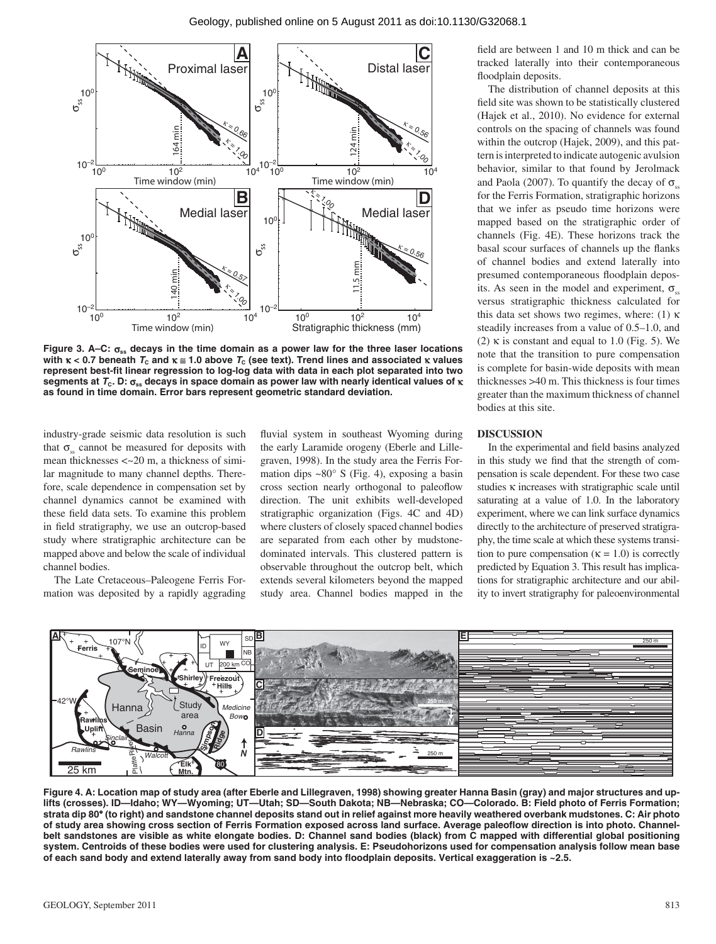

**Figure 3. A–C:** σ**ss decays in the time domain as a power law for the three laser locations with** κ < 0.7 beneath  $T_c$  and  $κ \approx 1.0$  above  $T_c$  (see text). Trend lines and associated κ values represent best-fit linear regression to log-log data with data in each plot separated into two **segments at** *T***C. D:** σ**ss decays in space domain as power law with nearly identical values of** κ **as found in time domain. Error bars represent geometric standard deviation.**

industry-grade seismic data resolution is such that  $\sigma_{ss}$  cannot be measured for deposits with mean thicknesses <~20 m, a thickness of similar magnitude to many channel depths. Therefore, scale dependence in compensation set by channel dynamics cannot be examined with these field data sets. To examine this problem in field stratigraphy, we use an outcrop-based study where stratigraphic architecture can be mapped above and below the scale of individual channel bodies.

The Late Cretaceous–Paleogene Ferris Formation was deposited by a rapidly aggrading fluvial system in southeast Wyoming during the early Laramide orogeny (Eberle and Lillegraven, 1998). In the study area the Ferris Formation dips  $\sim 80^\circ$  S (Fig. 4), exposing a basin cross section nearly orthogonal to paleoflow direction. The unit exhibits well-developed stratigraphic organization (Figs. 4C and 4D) where clusters of closely spaced channel bodies are separated from each other by mudstonedominated intervals. This clustered pattern is observable throughout the outcrop belt, which extends several kilometers beyond the mapped study area. Channel bodies mapped in the

field are between 1 and 10 m thick and can be tracked laterally into their contemporaneous floodplain deposits.

The distribution of channel deposits at this field site was shown to be statistically clustered (Hajek et al., 2010). No evidence for external controls on the spacing of channels was found within the outcrop (Hajek, 2009), and this pattern is interpreted to indicate autogenic avulsion behavior, similar to that found by Jerolmack and Paola (2007). To quantify the decay of  $\sigma_{\rm ss}$ for the Ferris Formation, stratigraphic horizons that we infer as pseudo time horizons were mapped based on the stratigraphic order of channels (Fig. 4E). These horizons track the basal scour surfaces of channels up the flanks of channel bodies and extend laterally into presumed contemporaneous floodplain deposits. As seen in the model and experiment,  $\sigma_{ss}$ versus stratigraphic thickness calculated for this data set shows two regimes, where: (1) κ steadily increases from a value of 0.5–1.0, and (2)  $\kappa$  is constant and equal to 1.0 (Fig. 5). We note that the transition to pure compensation is complete for basin-wide deposits with mean thicknesses >40 m. This thickness is four times greater than the maximum thickness of channel bodies at this site.

#### **DISCUSSION**

In the experimental and field basins analyzed in this study we find that the strength of compensation is scale dependent. For these two case studies κ increases with stratigraphic scale until saturating at a value of 1.0. In the laboratory experiment, where we can link surface dynamics directly to the architecture of preserved stratigraphy, the time scale at which these systems transition to pure compensation ( $\kappa = 1.0$ ) is correctly predicted by Equation 3. This result has implications for stratigraphic architecture and our ability to invert stratigraphy for paleoenvironmental



**Figure 4. A: Location map of study area (after Eberle and Lillegraven, 1998) showing greater Hanna Basin (gray) and major structures and uplifts (crosses). ID—Idaho; WY—Wyoming; UT—Utah; SD—South Dakota; NB—Nebraska; CO—Colorado. B: Field photo of Ferris Formation; strata dip 80° (to right) and sandstone channel deposits stand out in relief against more heavily weathered overbank mudstones. C: Air photo** of study area showing cross section of Ferris Formation exposed across land surface. Average paleoflow direction is into photo. Channel**belt sandstones are visible as white elongate bodies. D: Channel sand bodies (black) from C mapped with differential global positioning system. Centroids of these bodies were used for clustering analysis. E: Pseudohorizons used for compensation analysis follow mean base**  of each sand body and extend laterally away from sand body into floodplain deposits. Vertical exaggeration is ~2.5.